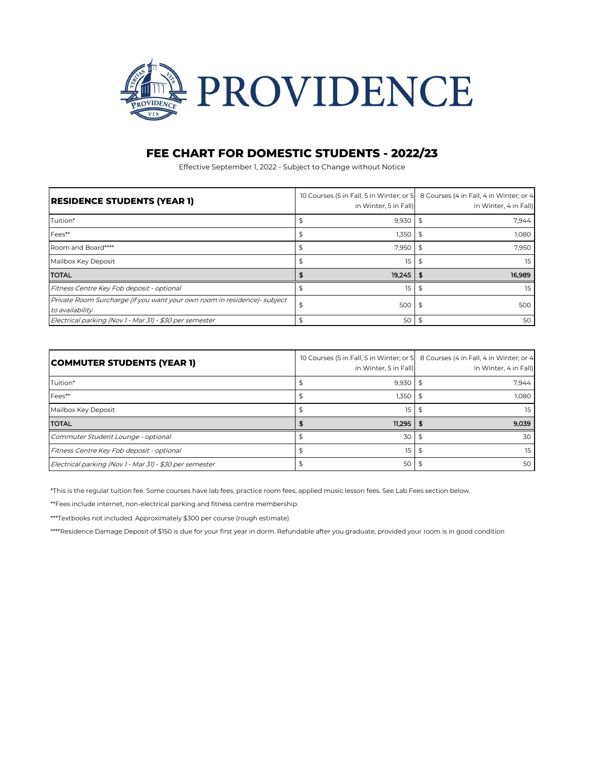

## **FEE CHART FOR DOMESTIC STUDENTS - 2022/23**

Effective September 1, 2022 - Subject to Change without Notice

| <b>RESIDENCE STUDENTS (YEAR 1)</b>                                                          | in Winter, 5 in Fall) | 10 Courses (5 in Fall, 5 in Winter; or 5   8 Courses (4 in Fall, 4 in Winter; or 4<br>in Winter, 4 in Fall) |
|---------------------------------------------------------------------------------------------|-----------------------|-------------------------------------------------------------------------------------------------------------|
| Tuition*                                                                                    | 9,930                 | 7.944                                                                                                       |
| Fees**                                                                                      | 1,350                 | 1,080                                                                                                       |
| Room and Board****                                                                          | 7,950                 | 7,950                                                                                                       |
| Mailbox Key Deposit                                                                         | 15                    | 15                                                                                                          |
| <b>TOTAL</b>                                                                                | 19.245                | 16.989                                                                                                      |
| Fitness Centre Key Fob deposit - optional                                                   | 15                    | 15                                                                                                          |
| Private Room Surcharge (if you want your own room in residence)- subject<br>to availability | 500<br>S              | 500<br>\$                                                                                                   |
| Electrical parking (Nov 1 - Mar 31) - \$30 per semester                                     | 50                    | 50                                                                                                          |

| <b>COMMUTER STUDENTS (YEAR 1)</b>                       | 10 Courses (5 in Fall, 5 in Winter; or 5<br>in Winter, 5 in Fall) | 8 Courses (4 in Fall, 4 in Winter; or 4<br>in Winter, 4 in Fall) |
|---------------------------------------------------------|-------------------------------------------------------------------|------------------------------------------------------------------|
| Tuition*                                                | 9,930                                                             | 7.944                                                            |
| Fees**                                                  | 1,350                                                             | 1,080                                                            |
| Mailbox Key Deposit                                     | 15                                                                | 15                                                               |
| <b>TOTAL</b>                                            | $11.295$   \$                                                     | 9,039                                                            |
| Commuter Student Lounge - optional                      | 30                                                                | 30                                                               |
| Fitness Centre Key Fob deposit - optional               | 15                                                                | 15                                                               |
| Electrical parking (Nov 1 - Mar 31) - \$30 per semester | 50                                                                | 50                                                               |

\*This is the regular tuition fee. Some courses have lab fees, practice room fees, applied music lesson fees. See Lab Fees section below.

\*\*Fees include internet, non-electrical parking and fitness centre membership.

\*\*\*Textbooks not included. Approximately \$300 per course (rough estimate)

\*\*\*\*Residence Damage Deposit of \$150 is due for your first year in dorm. Refundable after you graduate, provided your room is in good condition